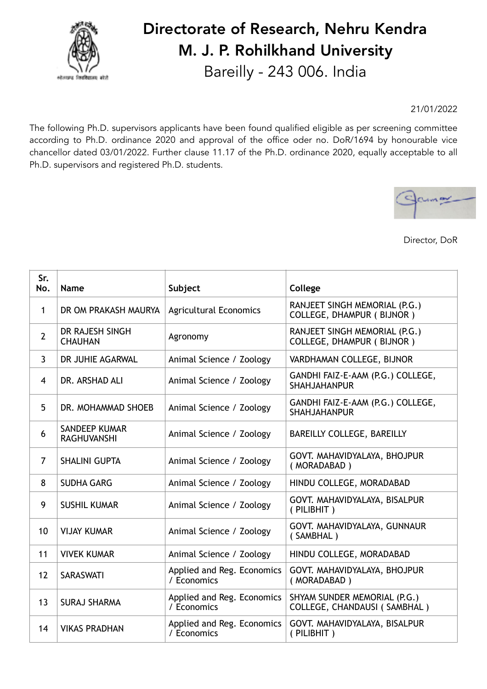

## Directorate of Research, Nehru Kendra M. J. P. Rohilkhand University Bareilly - 243 006. India

21/01/2022

The following Ph.D. supervisors applicants have been found qualified eligible as per screening committee according to Ph.D. ordinance 2020 and approval of the office oder no. DoR/1694 by honourable vice chancellor dated 03/01/2022. Further clause 11.17 of the Ph.D. ordinance 2020, equally acceptable to all Ph.D. supervisors and registered Ph.D. students.



Director, DoR

| Sr.<br>No.     | <b>Name</b>                                | Subject                                   | College                                                             |
|----------------|--------------------------------------------|-------------------------------------------|---------------------------------------------------------------------|
| 1              | DR OM PRAKASH MAURYA                       | <b>Agricultural Economics</b>             | RANJEET SINGH MEMORIAL (P.G.)<br><b>COLLEGE, DHAMPUR (BIJNOR)</b>   |
| $\overline{2}$ | DR RAJESH SINGH<br><b>CHAUHAN</b>          | Agronomy                                  | RANJEET SINGH MEMORIAL (P.G.)<br><b>COLLEGE, DHAMPUR (BIJNOR)</b>   |
| $\mathbf{3}$   | DR JUHIE AGARWAL                           | Animal Science / Zoology                  | VARDHAMAN COLLEGE, BIJNOR                                           |
| 4              | DR. ARSHAD ALI                             | Animal Science / Zoology                  | GANDHI FAIZ-E-AAM (P.G.) COLLEGE,<br><b>SHAHJAHANPUR</b>            |
| 5              | DR. MOHAMMAD SHOEB                         | Animal Science / Zoology                  | GANDHI FAIZ-E-AAM (P.G.) COLLEGE,<br><b>SHAHJAHANPUR</b>            |
| 6              | <b>SANDEEP KUMAR</b><br><b>RAGHUVANSHI</b> | Animal Science / Zoology                  | BAREILLY COLLEGE, BAREILLY                                          |
| $\overline{7}$ | <b>SHALINI GUPTA</b>                       | Animal Science / Zoology                  | GOVT. MAHAVIDYALAYA, BHOJPUR<br>(MORADABAD)                         |
| 8              | <b>SUDHA GARG</b>                          | Animal Science / Zoology                  | HINDU COLLEGE, MORADABAD                                            |
| 9              | <b>SUSHIL KUMAR</b>                        | Animal Science / Zoology                  | GOVT. MAHAVIDYALAYA, BISALPUR<br>(PILIBHIT)                         |
| 10             | <b>VIJAY KUMAR</b>                         | Animal Science / Zoology                  | GOVT. MAHAVIDYALAYA, GUNNAUR<br>(SAMBHAL)                           |
| 11             | <b>VIVEK KUMAR</b>                         | Animal Science / Zoology                  | HINDU COLLEGE, MORADABAD                                            |
| 12             | <b>SARASWATI</b>                           | Applied and Reg. Economics<br>/ Economics | GOVT. MAHAVIDYALAYA, BHOJPUR<br>(MORADABAD)                         |
| 13             | <b>SURAJ SHARMA</b>                        | Applied and Reg. Economics<br>/ Economics | SHYAM SUNDER MEMORIAL (P.G.)<br><b>COLLEGE, CHANDAUSI (SAMBHAL)</b> |
| 14             | <b>VIKAS PRADHAN</b>                       | Applied and Reg. Economics<br>/ Economics | GOVT. MAHAVIDYALAYA, BISALPUR<br>(PILIBHIT)                         |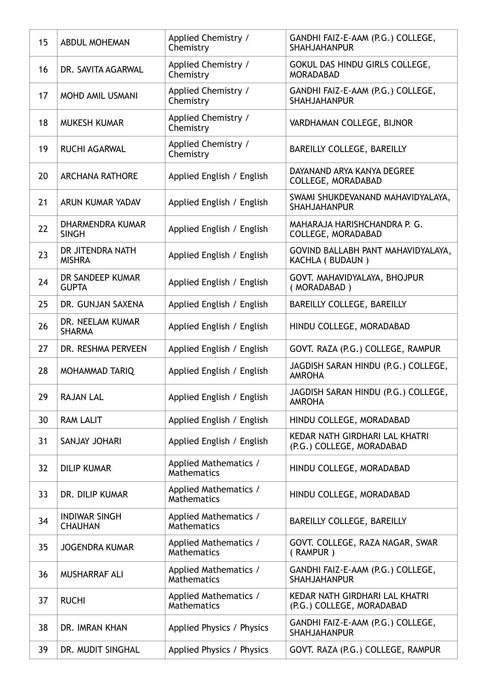| 15 | <b>ABDUL MOHEMAN</b>                    | Applied Chemistry /<br>Chemistry            | GANDHI FAIZ-E-AAM (P.G.) COLLEGE,<br><b>SHAHJAHANPUR</b>    |
|----|-----------------------------------------|---------------------------------------------|-------------------------------------------------------------|
| 16 | DR. SAVITA AGARWAL                      | Applied Chemistry /<br>Chemistry            | GOKUL DAS HINDU GIRLS COLLEGE,<br><b>MORADABAD</b>          |
| 17 | <b>MOHD AMIL USMANI</b>                 | Applied Chemistry /<br>Chemistry            | GANDHI FAIZ-E-AAM (P.G.) COLLEGE,<br><b>SHAHJAHANPUR</b>    |
| 18 | <b>MUKESH KUMAR</b>                     | Applied Chemistry /<br>Chemistry            | VARDHAMAN COLLEGE, BIJNOR                                   |
| 19 | <b>RUCHI AGARWAL</b>                    | Applied Chemistry /<br>Chemistry            | BAREILLY COLLEGE, BAREILLY                                  |
| 20 | <b>ARCHANA RATHORE</b>                  | Applied English / English                   | DAYANAND ARYA KANYA DEGREE<br><b>COLLEGE, MORADABAD</b>     |
| 21 | ARUN KUMAR YADAV                        | Applied English / English                   | SWAMI SHUKDEVANAND MAHAVIDYALAYA,<br><b>SHAHJAHANPUR</b>    |
| 22 | <b>DHARMENDRA KUMAR</b><br><b>SINGH</b> | Applied English / English                   | MAHARAJA HARISHCHANDRA P. G.<br>COLLEGE, MORADABAD          |
| 23 | DR JITENDRA NATH<br><b>MISHRA</b>       | Applied English / English                   | GOVIND BALLABH PANT MAHAVIDYALAYA,<br>KACHLA ( BUDAUN )     |
| 24 | DR SANDEEP KUMAR<br><b>GUPTA</b>        | Applied English / English                   | GOVT. MAHAVIDYALAYA, BHOJPUR<br>(MORADABAD)                 |
| 25 | DR. GUNJAN SAXENA                       | Applied English / English                   | BAREILLY COLLEGE, BAREILLY                                  |
| 26 | DR. NEELAM KUMAR<br><b>SHARMA</b>       | Applied English / English                   | HINDU COLLEGE, MORADABAD                                    |
| 27 | DR. RESHMA PERVEEN                      | Applied English / English                   | GOVT. RAZA (P.G.) COLLEGE, RAMPUR                           |
| 28 | <b>MOHAMMAD TARIQ</b>                   | Applied English / English                   | JAGDISH SARAN HINDU (P.G.) COLLEGE,<br><b>AMROHA</b>        |
| 29 | <b>RAJAN LAL</b>                        | Applied English / English                   | JAGDISH SARAN HINDU (P.G.) COLLEGE,<br><b>AMROHA</b>        |
| 30 | <b>RAM LALIT</b>                        | Applied English / English                   | HINDU COLLEGE, MORADABAD                                    |
| 31 | SANJAY JOHARI                           | Applied English / English                   | KEDAR NATH GIRDHARI LAL KHATRI<br>(P.G.) COLLEGE, MORADABAD |
| 32 | <b>DILIP KUMAR</b>                      | Applied Mathematics /<br>Mathematics        | HINDU COLLEGE, MORADABAD                                    |
| 33 | DR. DILIP KUMAR                         | Applied Mathematics /<br>Mathematics        | HINDU COLLEGE, MORADABAD                                    |
| 34 | <b>INDIWAR SINGH</b><br><b>CHAUHAN</b>  | Applied Mathematics /<br><b>Mathematics</b> | BAREILLY COLLEGE, BAREILLY                                  |
| 35 | <b>JOGENDRA KUMAR</b>                   | Applied Mathematics /<br><b>Mathematics</b> | GOVT. COLLEGE, RAZA NAGAR, SWAR<br>(RAMPUR)                 |
| 36 | <b>MUSHARRAF ALI</b>                    | Applied Mathematics /<br><b>Mathematics</b> | GANDHI FAIZ-E-AAM (P.G.) COLLEGE,<br><b>SHAHJAHANPUR</b>    |
| 37 | <b>RUCHI</b>                            | Applied Mathematics /<br>Mathematics        | KEDAR NATH GIRDHARI LAL KHATRI<br>(P.G.) COLLEGE, MORADABAD |
| 38 | DR. IMRAN KHAN                          | Applied Physics / Physics                   | GANDHI FAIZ-E-AAM (P.G.) COLLEGE,<br><b>SHAHJAHANPUR</b>    |
| 39 | DR. MUDIT SINGHAL                       | Applied Physics / Physics                   | GOVT. RAZA (P.G.) COLLEGE, RAMPUR                           |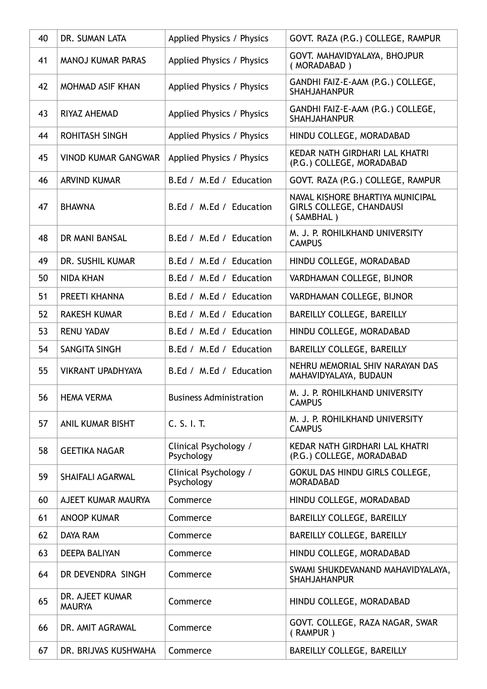| 40 | DR. SUMAN LATA                   | Applied Physics / Physics           | GOVT. RAZA (P.G.) COLLEGE, RAMPUR                                                |
|----|----------------------------------|-------------------------------------|----------------------------------------------------------------------------------|
| 41 | <b>MANOJ KUMAR PARAS</b>         | Applied Physics / Physics           | GOVT. MAHAVIDYALAYA, BHOJPUR<br>(MORADABAD)                                      |
| 42 | <b>MOHMAD ASIF KHAN</b>          | Applied Physics / Physics           | GANDHI FAIZ-E-AAM (P.G.) COLLEGE,<br><b>SHAHJAHANPUR</b>                         |
| 43 | RIYAZ AHEMAD                     | Applied Physics / Physics           | GANDHI FAIZ-E-AAM (P.G.) COLLEGE,<br><b>SHAHJAHANPUR</b>                         |
| 44 | <b>ROHITASH SINGH</b>            | Applied Physics / Physics           | HINDU COLLEGE, MORADABAD                                                         |
| 45 | <b>VINOD KUMAR GANGWAR</b>       | Applied Physics / Physics           | KEDAR NATH GIRDHARI LAL KHATRI<br>(P.G.) COLLEGE, MORADABAD                      |
| 46 | <b>ARVIND KUMAR</b>              | B.Ed / M.Ed / Education             | GOVT. RAZA (P.G.) COLLEGE, RAMPUR                                                |
| 47 | <b>BHAWNA</b>                    | B.Ed / M.Ed / Education             | NAVAL KISHORE BHARTIYA MUNICIPAL<br><b>GIRLS COLLEGE, CHANDAUSI</b><br>(SAMBHAL) |
| 48 | DR MANI BANSAL                   | B.Ed / M.Ed / Education             | M. J. P. ROHILKHAND UNIVERSITY<br><b>CAMPUS</b>                                  |
| 49 | DR. SUSHIL KUMAR                 | B.Ed / M.Ed / Education             | HINDU COLLEGE, MORADABAD                                                         |
| 50 | <b>NIDA KHAN</b>                 | B.Ed / M.Ed / Education             | VARDHAMAN COLLEGE, BIJNOR                                                        |
| 51 | PREETI KHANNA                    | B.Ed / M.Ed / Education             | VARDHAMAN COLLEGE, BIJNOR                                                        |
| 52 | <b>RAKESH KUMAR</b>              | B.Ed / M.Ed / Education             | BAREILLY COLLEGE, BAREILLY                                                       |
| 53 | <b>RENU YADAV</b>                | B.Ed / M.Ed / Education             | HINDU COLLEGE, MORADABAD                                                         |
| 54 | SANGITA SINGH                    | B.Ed / M.Ed / Education             | BAREILLY COLLEGE, BAREILLY                                                       |
| 55 | <b>VIKRANT UPADHYAYA</b>         | B.Ed / M.Ed / Education             | NEHRU MEMORIAL SHIV NARAYAN DAS<br>MAHAVIDYALAYA, BUDAUN                         |
| 56 | <b>HEMA VERMA</b>                | <b>Business Administration</b>      | M. J. P. ROHILKHAND UNIVERSITY<br><b>CAMPUS</b>                                  |
| 57 | ANIL KUMAR BISHT                 | C. S. I. T.                         | M. J. P. ROHILKHAND UNIVERSITY<br><b>CAMPUS</b>                                  |
| 58 | <b>GEETIKA NAGAR</b>             | Clinical Psychology /<br>Psychology | KEDAR NATH GIRDHARI LAL KHATRI<br>(P.G.) COLLEGE, MORADABAD                      |
| 59 | <b>SHAIFALI AGARWAL</b>          | Clinical Psychology /<br>Psychology | GOKUL DAS HINDU GIRLS COLLEGE,<br><b>MORADABAD</b>                               |
| 60 | AJEET KUMAR MAURYA               | Commerce                            | HINDU COLLEGE, MORADABAD                                                         |
| 61 | <b>ANOOP KUMAR</b>               | Commerce                            | BAREILLY COLLEGE, BAREILLY                                                       |
| 62 | DAYA RAM                         | Commerce                            | BAREILLY COLLEGE, BAREILLY                                                       |
| 63 | <b>DEEPA BALIYAN</b>             | Commerce                            | HINDU COLLEGE, MORADABAD                                                         |
| 64 | DR DEVENDRA SINGH                | Commerce                            | SWAMI SHUKDEVANAND MAHAVIDYALAYA,<br><b>SHAHJAHANPUR</b>                         |
| 65 | DR. AJEET KUMAR<br><b>MAURYA</b> | Commerce                            | HINDU COLLEGE, MORADABAD                                                         |
| 66 | DR. AMIT AGRAWAL                 | Commerce                            | GOVT. COLLEGE, RAZA NAGAR, SWAR<br>(RAMPUR)                                      |
| 67 | DR. BRIJVAS KUSHWAHA             | Commerce                            | BAREILLY COLLEGE, BAREILLY                                                       |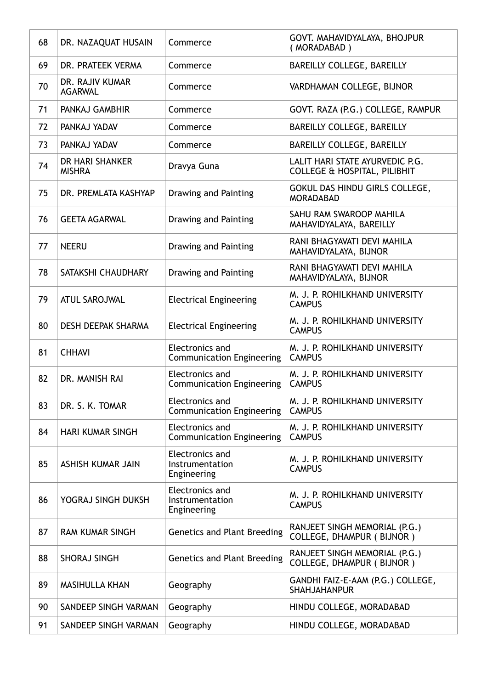| 68 | DR. NAZAQUAT HUSAIN               | Commerce                                                   | GOVT. MAHAVIDYALAYA, BHOJPUR<br>(MORADABAD)                                |
|----|-----------------------------------|------------------------------------------------------------|----------------------------------------------------------------------------|
| 69 | DR. PRATEEK VERMA                 | Commerce                                                   | BAREILLY COLLEGE, BAREILLY                                                 |
| 70 | DR. RAJIV KUMAR<br><b>AGARWAL</b> | Commerce                                                   | VARDHAMAN COLLEGE, BIJNOR                                                  |
| 71 | PANKAJ GAMBHIR                    | Commerce                                                   | GOVT. RAZA (P.G.) COLLEGE, RAMPUR                                          |
| 72 | PANKAJ YADAV                      | Commerce                                                   | BAREILLY COLLEGE, BAREILLY                                                 |
| 73 | PANKAJ YADAV                      | Commerce                                                   | BAREILLY COLLEGE, BAREILLY                                                 |
| 74 | DR HARI SHANKER<br><b>MISHRA</b>  | Dravya Guna                                                | LALIT HARI STATE AYURVEDIC P.G.<br><b>COLLEGE &amp; HOSPITAL, PILIBHIT</b> |
| 75 | DR. PREMLATA KASHYAP              | Drawing and Painting                                       | GOKUL DAS HINDU GIRLS COLLEGE,<br><b>MORADABAD</b>                         |
| 76 | <b>GEETA AGARWAL</b>              | Drawing and Painting                                       | SAHU RAM SWAROOP MAHILA<br>MAHAVIDYALAYA, BAREILLY                         |
| 77 | <b>NEERU</b>                      | Drawing and Painting                                       | RANI BHAGYAVATI DEVI MAHILA<br>MAHAVIDYALAYA, BIJNOR                       |
| 78 | SATAKSHI CHAUDHARY                | Drawing and Painting                                       | RANI BHAGYAVATI DEVI MAHILA<br>MAHAVIDYALAYA, BIJNOR                       |
| 79 | <b>ATUL SAROJWAL</b>              | <b>Electrical Engineering</b>                              | M. J. P. ROHILKHAND UNIVERSITY<br><b>CAMPUS</b>                            |
| 80 | <b>DESH DEEPAK SHARMA</b>         | <b>Electrical Engineering</b>                              | M. J. P. ROHILKHAND UNIVERSITY<br><b>CAMPUS</b>                            |
| 81 | <b>CHHAVI</b>                     | <b>Electronics and</b><br><b>Communication Engineering</b> | M. J. P. ROHILKHAND UNIVERSITY<br><b>CAMPUS</b>                            |
| 82 | DR. MANISH RAI                    | <b>Electronics and</b><br><b>Communication Engineering</b> | M. J. P. ROHILKHAND UNIVERSITY<br><b>CAMPUS</b>                            |
| 83 | DR. S. K. TOMAR                   | <b>Electronics and</b><br><b>Communication Engineering</b> | M. J. P. ROHILKHAND UNIVERSITY<br><b>CAMPUS</b>                            |
| 84 | <b>HARI KUMAR SINGH</b>           | Electronics and<br><b>Communication Engineering</b>        | M. J. P. ROHILKHAND UNIVERSITY<br><b>CAMPUS</b>                            |
| 85 | <b>ASHISH KUMAR JAIN</b>          | Electronics and<br>Instrumentation<br>Engineering          | M. J. P. ROHILKHAND UNIVERSITY<br><b>CAMPUS</b>                            |
| 86 | YOGRAJ SINGH DUKSH                | Electronics and<br>Instrumentation<br>Engineering          | M. J. P. ROHILKHAND UNIVERSITY<br><b>CAMPUS</b>                            |
| 87 | <b>RAM KUMAR SINGH</b>            | <b>Genetics and Plant Breeding</b>                         | RANJEET SINGH MEMORIAL (P.G.)<br>COLLEGE, DHAMPUR (BIJNOR)                 |
| 88 | <b>SHORAJ SINGH</b>               | <b>Genetics and Plant Breeding</b>                         | RANJEET SINGH MEMORIAL (P.G.)<br><b>COLLEGE, DHAMPUR (BIJNOR)</b>          |
| 89 | <b>MASIHULLA KHAN</b>             | Geography                                                  | GANDHI FAIZ-E-AAM (P.G.) COLLEGE,<br><b>SHAHJAHANPUR</b>                   |
| 90 | SANDEEP SINGH VARMAN              | Geography                                                  | HINDU COLLEGE, MORADABAD                                                   |
| 91 | SANDEEP SINGH VARMAN              | Geography                                                  | HINDU COLLEGE, MORADABAD                                                   |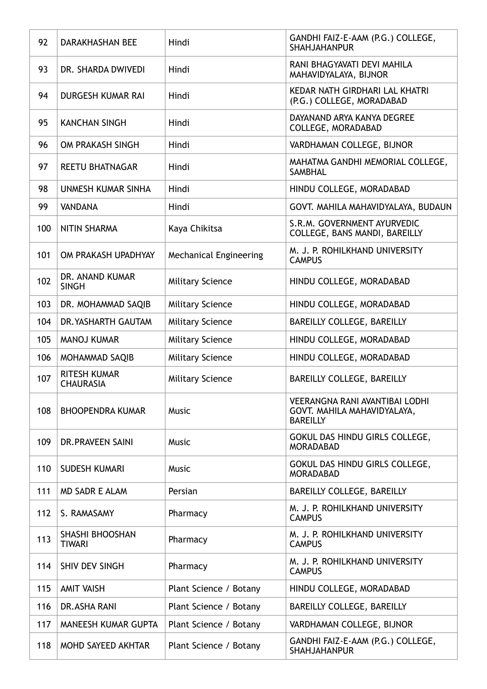| 92  | <b>DARAKHASHAN BEE</b>                  | Hindi                         | GANDHI FAIZ-E-AAM (P.G.) COLLEGE,<br><b>SHAHJAHANPUR</b>                                |
|-----|-----------------------------------------|-------------------------------|-----------------------------------------------------------------------------------------|
| 93  | DR. SHARDA DWIVEDI                      | Hindi                         | RANI BHAGYAVATI DEVI MAHILA<br>MAHAVIDYALAYA, BIJNOR                                    |
| 94  | <b>DURGESH KUMAR RAI</b>                | Hindi                         | KEDAR NATH GIRDHARI LAL KHATRI<br>(P.G.) COLLEGE, MORADABAD                             |
| 95  | <b>KANCHAN SINGH</b>                    | Hindi                         | DAYANAND ARYA KANYA DEGREE<br>COLLEGE, MORADABAD                                        |
| 96  | OM PRAKASH SINGH                        | Hindi                         | VARDHAMAN COLLEGE, BIJNOR                                                               |
| 97  | <b>REETU BHATNAGAR</b>                  | Hindi                         | MAHATMA GANDHI MEMORIAL COLLEGE,<br><b>SAMBHAL</b>                                      |
| 98  | UNMESH KUMAR SINHA                      | Hindi                         | HINDU COLLEGE, MORADABAD                                                                |
| 99  | <b>VANDANA</b>                          | Hindi                         | GOVT. MAHILA MAHAVIDYALAYA, BUDAUN                                                      |
| 100 | <b>NITIN SHARMA</b>                     | Kaya Chikitsa                 | S.R.M. GOVERNMENT AYURVEDIC<br>COLLEGE, BANS MANDI, BAREILLY                            |
| 101 | OM PRAKASH UPADHYAY                     | <b>Mechanical Engineering</b> | M. J. P. ROHILKHAND UNIVERSITY<br><b>CAMPUS</b>                                         |
| 102 | DR. ANAND KUMAR<br><b>SINGH</b>         | <b>Military Science</b>       | HINDU COLLEGE, MORADABAD                                                                |
| 103 | DR. MOHAMMAD SAQIB                      | <b>Military Science</b>       | HINDU COLLEGE, MORADABAD                                                                |
| 104 | DR. YASHARTH GAUTAM                     | <b>Military Science</b>       | BAREILLY COLLEGE, BAREILLY                                                              |
| 105 | <b>MANOJ KUMAR</b>                      | <b>Military Science</b>       | HINDU COLLEGE, MORADABAD                                                                |
| 106 | MOHAMMAD SAQIB                          | <b>Military Science</b>       | HINDU COLLEGE, MORADABAD                                                                |
| 107 | <b>RITESH KUMAR</b><br><b>CHAURASIA</b> | <b>Military Science</b>       | BAREILLY COLLEGE, BAREILLY                                                              |
| 108 | <b>BHOOPENDRA KUMAR</b>                 | Music                         | <b>VEERANGNA RANI AVANTIBAI LODHI</b><br>GOVT. MAHILA MAHAVIDYALAYA,<br><b>BAREILLY</b> |
| 109 | DR. PRAVEEN SAINI                       | <b>Music</b>                  | GOKUL DAS HINDU GIRLS COLLEGE,<br><b>MORADABAD</b>                                      |
| 110 | <b>SUDESH KUMARI</b>                    | <b>Music</b>                  | GOKUL DAS HINDU GIRLS COLLEGE,<br><b>MORADABAD</b>                                      |
| 111 | <b>MD SADR E ALAM</b>                   | Persian                       | BAREILLY COLLEGE, BAREILLY                                                              |
| 112 | S. RAMASAMY                             | Pharmacy                      | M. J. P. ROHILKHAND UNIVERSITY<br><b>CAMPUS</b>                                         |
| 113 | <b>SHASHI BHOOSHAN</b><br><b>TIWARI</b> | Pharmacy                      | M. J. P. ROHILKHAND UNIVERSITY<br><b>CAMPUS</b>                                         |
| 114 | SHIV DEV SINGH                          | Pharmacy                      | M. J. P. ROHILKHAND UNIVERSITY<br><b>CAMPUS</b>                                         |
| 115 | <b>AMIT VAISH</b>                       | Plant Science / Botany        | HINDU COLLEGE, MORADABAD                                                                |
| 116 | DR. ASHA RANI                           | Plant Science / Botany        | BAREILLY COLLEGE, BAREILLY                                                              |
| 117 | MANEESH KUMAR GUPTA                     | Plant Science / Botany        | VARDHAMAN COLLEGE, BIJNOR                                                               |
| 118 | MOHD SAYEED AKHTAR                      | Plant Science / Botany        | GANDHI FAIZ-E-AAM (P.G.) COLLEGE,<br><b>SHAHJAHANPUR</b>                                |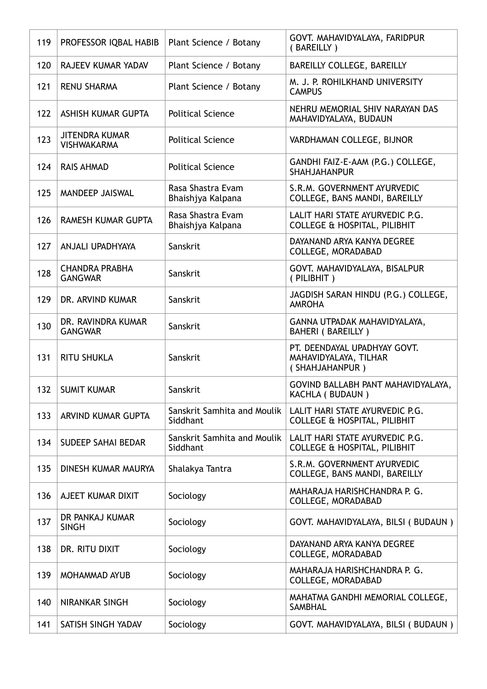| 119 | PROFESSOR IQBAL HABIB                       | Plant Science / Botany                  | GOVT. MAHAVIDYALAYA, FARIDPUR<br>(BAREILLY)                                |
|-----|---------------------------------------------|-----------------------------------------|----------------------------------------------------------------------------|
| 120 | RAJEEV KUMAR YADAV                          | Plant Science / Botany                  | BAREILLY COLLEGE, BAREILLY                                                 |
| 121 | <b>RENU SHARMA</b>                          | Plant Science / Botany                  | M. J. P. ROHILKHAND UNIVERSITY<br><b>CAMPUS</b>                            |
| 122 | ASHISH KUMAR GUPTA                          | <b>Political Science</b>                | NEHRU MEMORIAL SHIV NARAYAN DAS<br>MAHAVIDYALAYA, BUDAUN                   |
| 123 | <b>JITENDRA KUMAR</b><br><b>VISHWAKARMA</b> | <b>Political Science</b>                | VARDHAMAN COLLEGE, BIJNOR                                                  |
| 124 | <b>RAIS AHMAD</b>                           | <b>Political Science</b>                | GANDHI FAIZ-E-AAM (P.G.) COLLEGE,<br><b>SHAHJAHANPUR</b>                   |
| 125 | MANDEEP JAISWAL                             | Rasa Shastra Evam<br>Bhaishjya Kalpana  | S.R.M. GOVERNMENT AYURVEDIC<br>COLLEGE, BANS MANDI, BAREILLY               |
| 126 | RAMESH KUMAR GUPTA                          | Rasa Shastra Evam<br>Bhaishjya Kalpana  | LALIT HARI STATE AYURVEDIC P.G.<br><b>COLLEGE &amp; HOSPITAL, PILIBHIT</b> |
| 127 | ANJALI UPADHYAYA                            | Sanskrit                                | DAYANAND ARYA KANYA DEGREE<br>COLLEGE, MORADABAD                           |
| 128 | <b>CHANDRA PRABHA</b><br><b>GANGWAR</b>     | Sanskrit                                | GOVT. MAHAVIDYALAYA, BISALPUR<br>(PILIBHIT)                                |
| 129 | DR. ARVIND KUMAR                            | Sanskrit                                | JAGDISH SARAN HINDU (P.G.) COLLEGE,<br><b>AMROHA</b>                       |
| 130 | DR. RAVINDRA KUMAR<br><b>GANGWAR</b>        | Sanskrit                                | GANNA UTPADAK MAHAVIDYALAYA,<br>BAHERI (BAREILLY)                          |
| 131 | <b>RITU SHUKLA</b>                          | Sanskrit                                | PT. DEENDAYAL UPADHYAY GOVT.<br>MAHAVIDYALAYA, TILHAR<br>(SHAHJAHANPUR)    |
| 132 | <b>SUMIT KUMAR</b>                          | Sanskrit                                | GOVIND BALLABH PANT MAHAVIDYALAYA,<br><b>KACHLA ( BUDAUN )</b>             |
| 133 | ARVIND KUMAR GUPTA                          | Sanskrit Samhita and Moulik<br>Siddhant | LALIT HARI STATE AYURVEDIC P.G.<br><b>COLLEGE &amp; HOSPITAL, PILIBHIT</b> |
| 134 | <b>SUDEEP SAHAI BEDAR</b>                   | Sanskrit Samhita and Moulik<br>Siddhant | LALIT HARI STATE AYURVEDIC P.G.<br><b>COLLEGE &amp; HOSPITAL, PILIBHIT</b> |
| 135 | DINESH KUMAR MAURYA                         | Shalakya Tantra                         | S.R.M. GOVERNMENT AYURVEDIC<br>COLLEGE, BANS MANDI, BAREILLY               |
| 136 | AJEET KUMAR DIXIT                           | Sociology                               | MAHARAJA HARISHCHANDRA P. G.<br>COLLEGE, MORADABAD                         |
| 137 | DR PANKAJ KUMAR<br><b>SINGH</b>             | Sociology                               | GOVT. MAHAVIDYALAYA, BILSI ( BUDAUN )                                      |
| 138 | DR. RITU DIXIT                              | Sociology                               | DAYANAND ARYA KANYA DEGREE<br>COLLEGE, MORADABAD                           |
| 139 | MOHAMMAD AYUB                               | Sociology                               | MAHARAJA HARISHCHANDRA P. G.<br>COLLEGE, MORADABAD                         |
| 140 | <b>NIRANKAR SINGH</b>                       | Sociology                               | MAHATMA GANDHI MEMORIAL COLLEGE,<br><b>SAMBHAL</b>                         |
| 141 | SATISH SINGH YADAV                          | Sociology                               | GOVT. MAHAVIDYALAYA, BILSI ( BUDAUN )                                      |